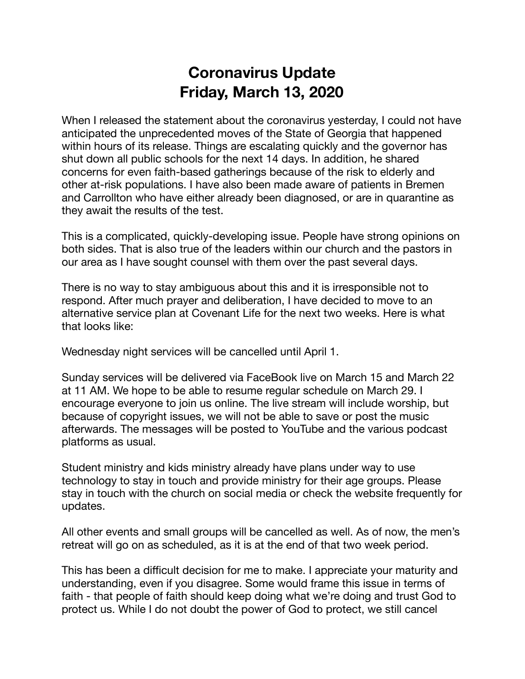## **Coronavirus Update Friday, March 13, 2020**

When I released the statement about the coronavirus yesterday, I could not have anticipated the unprecedented moves of the State of Georgia that happened within hours of its release. Things are escalating quickly and the governor has shut down all public schools for the next 14 days. In addition, he shared concerns for even faith-based gatherings because of the risk to elderly and other at-risk populations. I have also been made aware of patients in Bremen and Carrollton who have either already been diagnosed, or are in quarantine as they await the results of the test.

This is a complicated, quickly-developing issue. People have strong opinions on both sides. That is also true of the leaders within our church and the pastors in our area as I have sought counsel with them over the past several days.

There is no way to stay ambiguous about this and it is irresponsible not to respond. After much prayer and deliberation, I have decided to move to an alternative service plan at Covenant Life for the next two weeks. Here is what that looks like:

Wednesday night services will be cancelled until April 1.

Sunday services will be delivered via FaceBook live on March 15 and March 22 at 11 AM. We hope to be able to resume regular schedule on March 29. I encourage everyone to join us online. The live stream will include worship, but because of copyright issues, we will not be able to save or post the music afterwards. The messages will be posted to YouTube and the various podcast platforms as usual.

Student ministry and kids ministry already have plans under way to use technology to stay in touch and provide ministry for their age groups. Please stay in touch with the church on social media or check the website frequently for updates.

All other events and small groups will be cancelled as well. As of now, the men's retreat will go on as scheduled, as it is at the end of that two week period.

This has been a difficult decision for me to make. I appreciate your maturity and understanding, even if you disagree. Some would frame this issue in terms of faith - that people of faith should keep doing what we're doing and trust God to protect us. While I do not doubt the power of God to protect, we still cancel